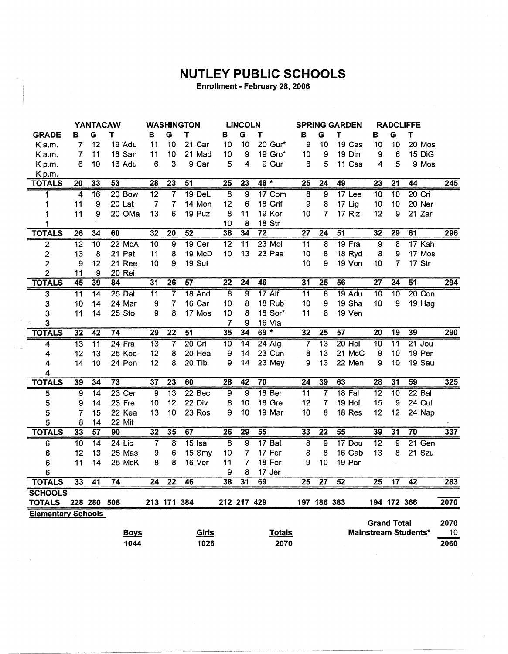## **NUTLEY PUBLIC SCHOOLS**

Enrollment - February 28, 2006

|                           | <b>YANTACAW</b> |                 | <b>WASHINGTON</b> |                 |                         | <b>LINCOLN</b>  |                         | <b>SPRING GARDEN</b> |                   | <b>RADCLIFFE</b>        |                 |                 |                    |                         |                             |                  |
|---------------------------|-----------------|-----------------|-------------------|-----------------|-------------------------|-----------------|-------------------------|----------------------|-------------------|-------------------------|-----------------|-----------------|--------------------|-------------------------|-----------------------------|------------------|
| <b>GRADE</b>              | в               | G               | Τ                 | в               | G                       | T               | в                       | G                    | Τ                 | в                       | G               | Τ               | в                  | G                       | т                           |                  |
| K a.m.                    | 7               | 12              | 19 Adu            | 11              | 10                      | 21 Car          | 10                      | 10                   | 20 Gur*           | 9                       | 10              | 19 Cas          | 10                 | 10                      | 20 Mos                      |                  |
| K a.m.                    | 7               | 11              | 18 San            | 11              | 10                      | 21 Mad          | 10                      | 9                    | 19 Gro*           | 10                      | 9               | 19 Din          | 9                  | 6                       | 15 DiG                      |                  |
| Kp.m.                     | 6               | 10              | 16 Adu            | 6               | 3                       | 9 Car           | 5                       | 4                    | 9 Gur             | 6                       | 5               | 11 Cas          | 4                  | 5                       | 9 Mos                       |                  |
| Kp.m.                     |                 |                 |                   |                 |                         |                 |                         |                      |                   |                         |                 |                 |                    |                         |                             |                  |
| <b>TOTALS</b>             | $\overline{20}$ | 33              | $\overline{53}$   | $\overline{28}$ | $\overline{23}$         | $\overline{51}$ | $\overline{25}$         | $\overline{23}$      | $48 *$            | $\overline{25}$         | $\overline{24}$ | 49              | $\overline{23}$    | $\overline{21}$         | 44                          | $\overline{245}$ |
| 1                         | 4               | 16              | 20 Bow            | $\overline{12}$ | 7                       | <b>19 DeL</b>   | $\overline{8}$          | $\overline{9}$       | 17 Com            | 8                       | 9               | 17 Lee          | 10                 | $\overline{10}$         | $20$ Cri                    |                  |
| 1                         | 11              | 9               | 20 Lat            | $\overline{7}$  | $\overline{7}$          | 14 Mon          | 12                      | 6                    | 18 Grif           | 9                       | 8               | 17 Lig          | 10                 | 10                      | 20 Ner                      |                  |
| 1                         | 11              | 9               | 20 OMa            | 13              | 6                       | 19 Puz          | 8                       | 11                   | 19 Kor            | 10                      | 7               | 17 Riz          | 12                 | 9                       | 21 Zar                      |                  |
| 1                         |                 |                 |                   |                 |                         |                 | 10                      | 8                    | 18 Str            |                         |                 |                 |                    |                         |                             |                  |
| <b>TOTALS</b>             | 26              | 34              | 60                | 32              | $\overline{20}$         | $\overline{52}$ | $\overline{38}$         | 34                   | $\overline{72}$   | $\overline{27}$         | $\overline{24}$ | $\overline{51}$ | 32                 | 29                      | $\overline{61}$             | 296              |
| $\overline{2}$            | $\overline{12}$ | $\overline{10}$ | 22 McA            | $\overline{10}$ | 9                       | $19$ Cer        | $\overline{12}$         | $\overline{11}$      | $23$ Mol          | $\overline{11}$         | $\overline{8}$  | 19 Fra          | ॿ                  | $\overline{\mathbf{8}}$ | 17 Kah                      |                  |
| $\overline{2}$            | 13              | 8               | 21 Pat            | 11              | 8                       | 19 McD          | 10                      | 13                   | 23 Pas            | 10                      | 8               | 18 Ryd          | 8                  | 9                       | 17 Mos                      |                  |
| $\overline{\mathbf{c}}$   | 9               | 12              | 21 Ree            | 10              | 9                       | 19 Sut          |                         |                      |                   | 10                      | 9               | 19 Von          | 10                 | 7                       | 17 Str                      |                  |
| $\overline{2}$            | 11              | 9               | 20 Rei            |                 |                         |                 |                         |                      |                   |                         |                 |                 |                    |                         |                             |                  |
| <b>TOTALS</b>             | 45              | 39              | 84                | $\overline{31}$ | $\overline{26}$         | 57              | $\overline{22}$         | $\overline{24}$      | 46                | 31                      | $\overline{25}$ | $\overline{56}$ | $\overline{27}$    | $\overline{24}$         | $\overline{51}$             | 294              |
| $\overline{3}$            | $\overline{11}$ | $\overline{14}$ | 25 Dal            | $\overline{11}$ | 7                       | 18 And          | $\overline{\bf 8}$      | 9                    | 17 Alf            | $\overline{11}$         | 8               | $19$ Adu        | $\overline{10}$    | $\overline{10}$         | 20 Con                      |                  |
| 3                         | 10              | 14              | 24 Mar            | 9               | 7                       | 16 Car          | 10                      | 8                    | 18 Rub            | 10                      | 9               | 19 Sha          | 10                 | 9                       | 19 Hag                      |                  |
| 3                         | 11              | 14              | 25 Sto            | 9               | 8                       | 17 Mos          | 10                      | 8                    | 18 Sor*           | 11                      | 8               | 19 Ven          |                    |                         |                             |                  |
| 3                         |                 |                 |                   |                 |                         |                 | 7                       | 9                    | 16 Vla            |                         |                 |                 |                    |                         |                             |                  |
| <b>TOTALS</b>             | $\overline{32}$ | $\overline{42}$ | 74                | 29              | $\overline{22}$         | 51              | 35                      | 34                   | $69 *$            | 32                      | $\overline{25}$ | 57              | $\overline{20}$    | 19                      | 39                          | 290              |
| 4                         | $\overline{13}$ | $\overline{11}$ | $24$ Fra          | $\overline{13}$ | 7                       | $20$ Cri        | $\overline{10}$         | $\overline{14}$      | $24$ Alg          | 7                       | $\overline{13}$ | $20$ Hol        | 10                 | $\overline{11}$         | $21$ Jou                    |                  |
| 4                         | 12              | 13              | 25 Koc            | 12              | 8                       | 20 Hea          | 9                       | 14                   | 23 Cun            | 8                       | 13              | 21 McC          | 9                  | 10                      | 19 Per                      |                  |
| 4                         | 14              | 10              | 24 Pon            | 12              | 8                       | 20 Tib          | 9                       | 14                   | 23 Mey            | 9                       | 13              | 22 Men          | 9                  | 10                      | 19 Sau                      |                  |
| 4                         |                 |                 |                   |                 |                         |                 |                         |                      |                   |                         |                 |                 |                    |                         |                             |                  |
| <b>TOTALS</b>             | 39              | 34              | 73                | $\overline{37}$ | $\overline{23}$         | 60              | 28                      | $\overline{42}$      | $\overline{70}$   | $\overline{24}$         | 39              | $\overline{63}$ | 28                 | 31                      | 59                          | 325              |
| 5                         | 9               | 14              | $23$ Cer          | $\overline{9}$  | $\overline{13}$         | 22 Bec          | $\overline{9}$          | $\overline{9}$       | 18 <sub>Ber</sub> | 11                      | 7               | $18$ Fal        | $\overline{12}$    | $\overline{10}$         | $22$ Bal                    |                  |
| 5                         | 9               | 14              | 23 Fre            | 10              | 12                      | 22 Div          | 8                       | 10                   | 18 Gre            | 12                      | 7               | 19 Hol          | 15                 | 9                       | 24 Cul                      |                  |
| 5                         | 7               | 15              | 22 Kea            | 13              | 10                      | 23 Ros          | 9                       | 10                   | 19 Mar            | 10                      | 8               | 18 Res          | 12                 | 12                      | 24 Nap                      |                  |
| 5                         | 8               | 14              | 22 Mit            |                 |                         |                 |                         |                      |                   |                         |                 |                 |                    |                         |                             |                  |
| <b>TOTALS</b>             | $\overline{33}$ | 57              | 90                | $\overline{32}$ | $\overline{35}$         | 67              | $\overline{26}$         | 29                   | $\overline{55}$   | 33                      | $\overline{22}$ | 55              | 39                 | $\overline{31}$         | $\overline{70}$             | 337              |
| 6                         | $\overline{10}$ | $\overline{14}$ | $24$ Lic          | 7               | $\overline{\mathbf{8}}$ | $15$ Isa        | $\overline{\mathbf{8}}$ | $\overline{9}$       | 17 Bat            | $\overline{\mathbf{8}}$ | $\overline{9}$  | 17 Dou          | $\overline{12}$    | $\overline{9}$          | 21 Gen                      |                  |
| 6                         | 12              | 13              | 25 Mas            | 9               | 6                       | 15 Smy          | 10                      | 7                    | 17 Fer            | 8                       | 8               | 16 Gab          | 13                 | 8                       | 21 Szu                      |                  |
| 6                         | 11              | 14              | 25 McK            | 8               | 8                       | 16 Ver          | 11                      | 7                    | 18 Fer            | 9                       | 10              | 19 Par          |                    |                         |                             |                  |
| 6                         |                 |                 |                   |                 |                         |                 | 9                       | 8                    | 17 Jer            |                         |                 |                 |                    |                         |                             |                  |
| <b>TOTALS</b>             | 33              | $\overline{41}$ | $\overline{74}$   | 24              | $\overline{22}$         | 46              | $\overline{38}$         | 31                   | 69                | $\overline{25}$         | $\overline{27}$ | $\overline{52}$ | $\overline{25}$    | $\overline{17}$         | 42                          | 283              |
| <b>SCHOOLS</b>            |                 |                 |                   |                 |                         |                 |                         |                      |                   |                         |                 |                 |                    |                         |                             |                  |
| <b>TOTALS</b>             |                 | 228 280 508     |                   |                 | 213 171 384             |                 | 212 217 429             |                      |                   |                         | 197 186 383     |                 |                    | 194 172 366             |                             | 2070             |
| <b>Elementary Schools</b> |                 |                 |                   |                 |                         |                 |                         |                      |                   |                         |                 |                 |                    |                         |                             |                  |
|                           |                 |                 |                   |                 |                         |                 |                         |                      |                   |                         |                 |                 | <b>Grand Total</b> |                         |                             | 2070             |
|                           |                 |                 | <b>Boys</b>       |                 |                         | Girls           |                         |                      | <b>Totals</b>     |                         |                 |                 |                    |                         | <b>Mainstream Students*</b> | 10               |
|                           |                 |                 | 1044              |                 |                         | 1026            |                         |                      | 2070              |                         |                 |                 |                    |                         |                             | 2060             |